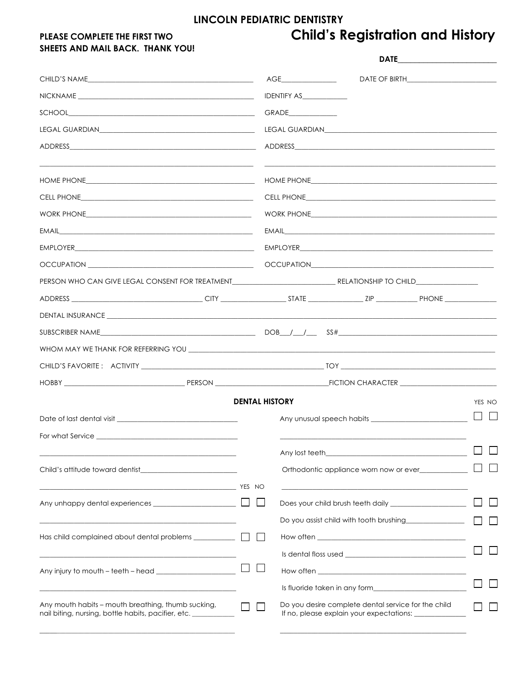# LINCOLN PEDIATRIC DENTISTRY

# PLEASE COMPLETE THE FIRST TWO SHEETS AND MAIL BACK. THANK YOU!

# **Child's Registration and History**

|                                                                                                                                                                                                                                |                       | $\overline{AGE}$ and $\overline{A}$ and $\overline{A}$ and $\overline{A}$ and $\overline{A}$ and $\overline{A}$ and $\overline{A}$ and $\overline{A}$ and $\overline{A}$ and $\overline{A}$ and $\overline{A}$ and $\overline{A}$ and $\overline{A}$ and $\overline{A}$ and $\overline{A}$ and $\overline{A}$ and $\overline{A}$ and |                                                                                                                                                                                                                                      |  |                        |
|--------------------------------------------------------------------------------------------------------------------------------------------------------------------------------------------------------------------------------|-----------------------|--------------------------------------------------------------------------------------------------------------------------------------------------------------------------------------------------------------------------------------------------------------------------------------------------------------------------------------|--------------------------------------------------------------------------------------------------------------------------------------------------------------------------------------------------------------------------------------|--|------------------------|
|                                                                                                                                                                                                                                |                       | IDENTIFY AS                                                                                                                                                                                                                                                                                                                          |                                                                                                                                                                                                                                      |  |                        |
|                                                                                                                                                                                                                                |                       | GRADE______________                                                                                                                                                                                                                                                                                                                  |                                                                                                                                                                                                                                      |  |                        |
|                                                                                                                                                                                                                                |                       |                                                                                                                                                                                                                                                                                                                                      |                                                                                                                                                                                                                                      |  |                        |
|                                                                                                                                                                                                                                |                       |                                                                                                                                                                                                                                                                                                                                      |                                                                                                                                                                                                                                      |  |                        |
| the control of the control of the control of the control of the control of the control of                                                                                                                                      |                       |                                                                                                                                                                                                                                                                                                                                      |                                                                                                                                                                                                                                      |  |                        |
|                                                                                                                                                                                                                                |                       |                                                                                                                                                                                                                                                                                                                                      |                                                                                                                                                                                                                                      |  |                        |
|                                                                                                                                                                                                                                |                       |                                                                                                                                                                                                                                                                                                                                      |                                                                                                                                                                                                                                      |  |                        |
|                                                                                                                                                                                                                                |                       |                                                                                                                                                                                                                                                                                                                                      |                                                                                                                                                                                                                                      |  |                        |
|                                                                                                                                                                                                                                |                       |                                                                                                                                                                                                                                                                                                                                      |                                                                                                                                                                                                                                      |  |                        |
| OCCUPATION <b>AND INTERNATION</b>                                                                                                                                                                                              |                       |                                                                                                                                                                                                                                                                                                                                      |                                                                                                                                                                                                                                      |  |                        |
|                                                                                                                                                                                                                                |                       |                                                                                                                                                                                                                                                                                                                                      |                                                                                                                                                                                                                                      |  |                        |
|                                                                                                                                                                                                                                |                       |                                                                                                                                                                                                                                                                                                                                      |                                                                                                                                                                                                                                      |  |                        |
| DENTAL INSURANCE PARALLEL CONTROL CONTROL CONTROL CONTROL CONTROL CONTROL CONTROL CONTROL CONTROL CONTROL CONTROL CONTROL CONTROL CONTROL CONTROL CONTROL CONTROL CONTROL CONTROL CONTROL CONTROL CONTROL CONTROL CONTROL CONT |                       |                                                                                                                                                                                                                                                                                                                                      |                                                                                                                                                                                                                                      |  |                        |
|                                                                                                                                                                                                                                |                       |                                                                                                                                                                                                                                                                                                                                      |                                                                                                                                                                                                                                      |  |                        |
|                                                                                                                                                                                                                                |                       |                                                                                                                                                                                                                                                                                                                                      |                                                                                                                                                                                                                                      |  |                        |
|                                                                                                                                                                                                                                |                       |                                                                                                                                                                                                                                                                                                                                      |                                                                                                                                                                                                                                      |  |                        |
|                                                                                                                                                                                                                                |                       |                                                                                                                                                                                                                                                                                                                                      |                                                                                                                                                                                                                                      |  |                        |
|                                                                                                                                                                                                                                | <b>DENTAL HISTORY</b> |                                                                                                                                                                                                                                                                                                                                      |                                                                                                                                                                                                                                      |  | YES NO                 |
|                                                                                                                                                                                                                                |                       |                                                                                                                                                                                                                                                                                                                                      |                                                                                                                                                                                                                                      |  | $\Box$<br>$\mathbf{1}$ |
|                                                                                                                                                                                                                                |                       |                                                                                                                                                                                                                                                                                                                                      |                                                                                                                                                                                                                                      |  |                        |
|                                                                                                                                                                                                                                |                       |                                                                                                                                                                                                                                                                                                                                      | Any lost teeth <b>Exercise Contract to the Contract of the Contract of Contract Contract of Contract Contract Contract Contract Contract Contract Contract Contract Contract Contract Contract Contract Contract Contract Contra</b> |  |                        |
|                                                                                                                                                                                                                                |                       |                                                                                                                                                                                                                                                                                                                                      | Orthodontic appliance worn now or ever___________                                                                                                                                                                                    |  |                        |
| <u> 1989 - Johann Barn, mars ann an t-Amhair ann an t-A</u>                                                                                                                                                                    | YES NO                |                                                                                                                                                                                                                                                                                                                                      |                                                                                                                                                                                                                                      |  |                        |
|                                                                                                                                                                                                                                |                       |                                                                                                                                                                                                                                                                                                                                      |                                                                                                                                                                                                                                      |  |                        |
|                                                                                                                                                                                                                                |                       |                                                                                                                                                                                                                                                                                                                                      |                                                                                                                                                                                                                                      |  |                        |
| Has child complained about dental problems ___________                                                                                                                                                                         |                       |                                                                                                                                                                                                                                                                                                                                      |                                                                                                                                                                                                                                      |  |                        |
|                                                                                                                                                                                                                                |                       |                                                                                                                                                                                                                                                                                                                                      |                                                                                                                                                                                                                                      |  |                        |
|                                                                                                                                                                                                                                |                       |                                                                                                                                                                                                                                                                                                                                      |                                                                                                                                                                                                                                      |  |                        |
|                                                                                                                                                                                                                                |                       |                                                                                                                                                                                                                                                                                                                                      |                                                                                                                                                                                                                                      |  |                        |
| Any mouth habits - mouth breathing, thumb sucking,<br>nail biting, nursing, bottle habits, pacifier, etc.                                                                                                                      |                       |                                                                                                                                                                                                                                                                                                                                      | Do you desire complete dental service for the child<br>If no, please explain your expectations: __________                                                                                                                           |  |                        |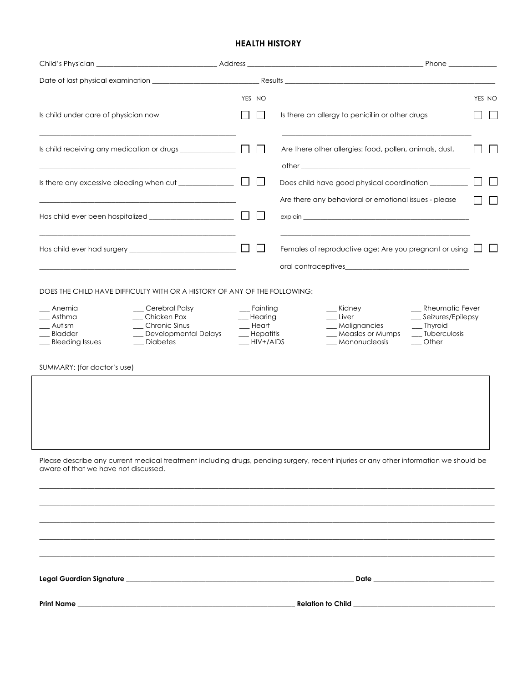## **HEALTH HISTORY**

| YES NO<br>Is child under care of physician now $\Box$<br>$\mathbf{L}$<br>Are there other allergies: food, pollen, animals, dust,<br>other and the contract of the contract of the contract of the contract of the contract of the contract of the contract of the contract of the contract of the contract of the contract of the contract of the contract of the<br>Are there any behavioral or emotional issues - please<br>the control of the control of the control of the control of the control of the control of<br>Females of reproductive age: Are you pregnant or using [<br>DOES THE CHILD HAVE DIFFICULTY WITH OR A HISTORY OF ANY OF THE FOLLOWING:<br>__ Rheumatic Fever<br>__ Anemia<br>__ Cerebral Palsy<br>__ Fainting<br>__ Kidney<br>__ Chicken Pox<br>__ Seizures/Epilepsy<br>__ Asthma<br>__ Hearing<br>__ Liver<br>_ Chronic Sinus<br>$\equiv$ Heart<br>__ Autism<br>_ Malignancies<br>__ Thyroid<br>Bladder<br>_ Developmental Delays<br>$\equiv$ Hepatitis<br>__ Measles or Mumps<br>__ Tuberculosis<br>_ Bleeding Issues<br>_ Diabetes<br>$-HIV+/AlDS$<br>__ Mononucleosis<br>$\overline{\phantom{a}}$ Other<br>SUMMARY: (for doctor's use)<br>Please describe any current medical treatment including drugs, pending surgery, recent injuries or any other information we should be<br>aware of that we have not discussed. |  |  |                                                                                  |
|-------------------------------------------------------------------------------------------------------------------------------------------------------------------------------------------------------------------------------------------------------------------------------------------------------------------------------------------------------------------------------------------------------------------------------------------------------------------------------------------------------------------------------------------------------------------------------------------------------------------------------------------------------------------------------------------------------------------------------------------------------------------------------------------------------------------------------------------------------------------------------------------------------------------------------------------------------------------------------------------------------------------------------------------------------------------------------------------------------------------------------------------------------------------------------------------------------------------------------------------------------------------------------------------------------------------------------------------------------|--|--|----------------------------------------------------------------------------------|
|                                                                                                                                                                                                                                                                                                                                                                                                                                                                                                                                                                                                                                                                                                                                                                                                                                                                                                                                                                                                                                                                                                                                                                                                                                                                                                                                                       |  |  |                                                                                  |
|                                                                                                                                                                                                                                                                                                                                                                                                                                                                                                                                                                                                                                                                                                                                                                                                                                                                                                                                                                                                                                                                                                                                                                                                                                                                                                                                                       |  |  | Is there an allergy to penicillin or other drugs _______________________________ |
|                                                                                                                                                                                                                                                                                                                                                                                                                                                                                                                                                                                                                                                                                                                                                                                                                                                                                                                                                                                                                                                                                                                                                                                                                                                                                                                                                       |  |  |                                                                                  |
|                                                                                                                                                                                                                                                                                                                                                                                                                                                                                                                                                                                                                                                                                                                                                                                                                                                                                                                                                                                                                                                                                                                                                                                                                                                                                                                                                       |  |  | Does child have good physical coordination _________                             |
|                                                                                                                                                                                                                                                                                                                                                                                                                                                                                                                                                                                                                                                                                                                                                                                                                                                                                                                                                                                                                                                                                                                                                                                                                                                                                                                                                       |  |  |                                                                                  |
|                                                                                                                                                                                                                                                                                                                                                                                                                                                                                                                                                                                                                                                                                                                                                                                                                                                                                                                                                                                                                                                                                                                                                                                                                                                                                                                                                       |  |  |                                                                                  |
|                                                                                                                                                                                                                                                                                                                                                                                                                                                                                                                                                                                                                                                                                                                                                                                                                                                                                                                                                                                                                                                                                                                                                                                                                                                                                                                                                       |  |  |                                                                                  |
|                                                                                                                                                                                                                                                                                                                                                                                                                                                                                                                                                                                                                                                                                                                                                                                                                                                                                                                                                                                                                                                                                                                                                                                                                                                                                                                                                       |  |  |                                                                                  |
|                                                                                                                                                                                                                                                                                                                                                                                                                                                                                                                                                                                                                                                                                                                                                                                                                                                                                                                                                                                                                                                                                                                                                                                                                                                                                                                                                       |  |  |                                                                                  |
|                                                                                                                                                                                                                                                                                                                                                                                                                                                                                                                                                                                                                                                                                                                                                                                                                                                                                                                                                                                                                                                                                                                                                                                                                                                                                                                                                       |  |  |                                                                                  |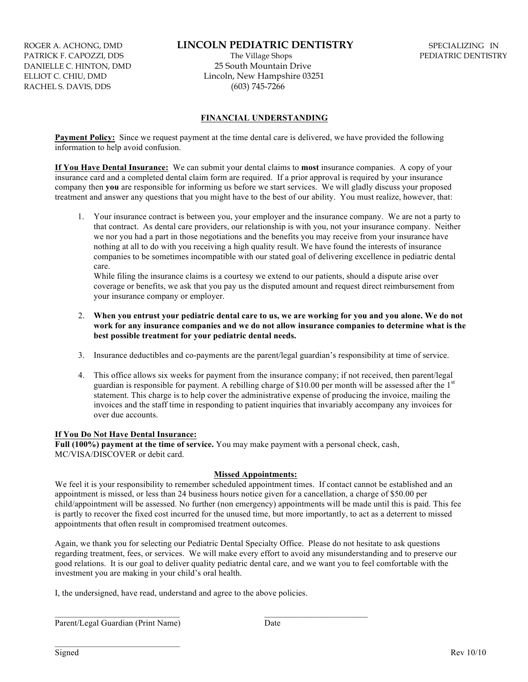ROGER A. ACHONG, DMD **LINCOLN PEDIATRIC DENTISTRY** SPECIALIZING IN PATRICK F. CAPOZZI, DDS **REDIATRIC DENTISTRY** PATRICK F. CAPOZZI, DDS RACHEL S. DAVIS, DDS (603) 745-7266

DANIELLE C. HINTON, DMD 25 South Mountain Drive ELLIOT C. CHIU, DMD Lincoln, New Hampshire 03251

### **FINANCIAL UNDERSTANDING**

**Payment Policy:** Since we request payment at the time dental care is delivered, we have provided the following information to help avoid confusion.

**If You Have Dental Insurance:** We can submit your dental claims to **most** insurance companies. A copy of your insurance card and a completed dental claim form are required. If a prior approval is required by your insurance company then **you** are responsible for informing us before we start services. We will gladly discuss your proposed treatment and answer any questions that you might have to the best of our ability. You must realize, however, that:

 1. Your insurance contract is between you, your employer and the insurance company. We are not a party to that contract. As dental care providers, our relationship is with you, not your insurance company. Neither we nor you had a part in those negotiations and the benefits you may receive from your insurance have nothing at all to do with you receiving a high quality result. We have found the interests of insurance companies to be sometimes incompatible with our stated goal of delivering excellence in pediatric dental care.

While filing the insurance claims is a courtesy we extend to our patients, should a dispute arise over coverage or benefits, we ask that you pay us the disputed amount and request direct reimbursement from your insurance company or employer.

- 2. **When you entrust your pediatric dental care to us, we are working for you and you alone. We do not work for any insurance companies and we do not allow insurance companies to determine what is the best possible treatment for your pediatric dental needs.**
- 3. Insurance deductibles and co-payments are the parent/legal guardian's responsibility at time of service.
- 4. This office allows six weeks for payment from the insurance company; if not received, then parent/legal guardian is responsible for payment. A rebilling charge of \$10.00 per month will be assessed after the  $1<sup>st</sup>$ statement. This charge is to help cover the administrative expense of producing the invoice, mailing the invoices and the staff time in responding to patient inquiries that invariably accompany any invoices for over due accounts.

### **If You Do Not Have Dental Insurance:**

**Full (100%) payment at the time of service.** You may make payment with a personal check, cash, MC/VISA/DISCOVER or debit card.

#### **Missed Appointments:**

We feel it is your responsibility to remember scheduled appointment times. If contact cannot be established and an appointment is missed, or less than 24 business hours notice given for a cancellation, a charge of \$50.00 per child/appointment will be assessed. No further (non emergency) appointments will be made until this is paid. This fee is partly to recover the fixed cost incurred for the unused time, but more importantly, to act as a deterrent to missed appointments that often result in compromised treatment outcomes.

Again, we thank you for selecting our Pediatric Dental Specialty Office. Please do not hesitate to ask questions regarding treatment, fees, or services. We will make every effort to avoid any misunderstanding and to preserve our good relations. It is our goal to deliver quality pediatric dental care, and we want you to feel comfortable with the investment you are making in your child's oral health.

I, the undersigned, have read, understand and agree to the above policies.

 $\mathcal{L}_\text{max}$ 

 $\mathcal{L}=\{1,2,3,4,5\}$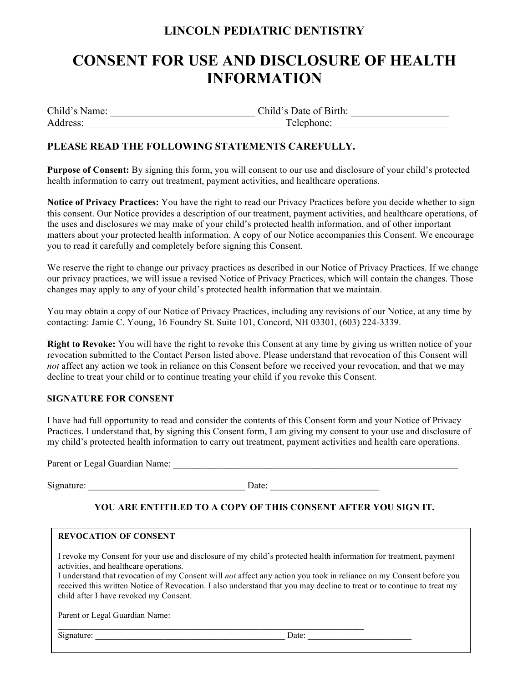# **LINCOLN PEDIATRIC DENTISTRY**

# **CONSENT FOR USE AND DISCLOSURE OF HEALTH INFORMATION**

| Child's Name: | Child's Date of Birth: |
|---------------|------------------------|
| Address:      | Telephone:             |

# **PLEASE READ THE FOLLOWING STATEMENTS CAREFULLY.**

**Purpose of Consent:** By signing this form, you will consent to our use and disclosure of your child's protected health information to carry out treatment, payment activities, and healthcare operations.

**Notice of Privacy Practices:** You have the right to read our Privacy Practices before you decide whether to sign this consent. Our Notice provides a description of our treatment, payment activities, and healthcare operations, of the uses and disclosures we may make of your child's protected health information, and of other important matters about your protected health information. A copy of our Notice accompanies this Consent. We encourage you to read it carefully and completely before signing this Consent.

We reserve the right to change our privacy practices as described in our Notice of Privacy Practices. If we change our privacy practices, we will issue a revised Notice of Privacy Practices, which will contain the changes. Those changes may apply to any of your child's protected health information that we maintain.

You may obtain a copy of our Notice of Privacy Practices, including any revisions of our Notice, at any time by contacting: Jamie C. Young, 16 Foundry St. Suite 101, Concord, NH 03301, (603) 224-3339.

**Right to Revoke:** You will have the right to revoke this Consent at any time by giving us written notice of your revocation submitted to the Contact Person listed above. Please understand that revocation of this Consent will *not* affect any action we took in reliance on this Consent before we received your revocation, and that we may decline to treat your child or to continue treating your child if you revoke this Consent.

# **SIGNATURE FOR CONSENT**

I have had full opportunity to read and consider the contents of this Consent form and your Notice of Privacy Practices. I understand that, by signing this Consent form, I am giving my consent to your use and disclosure of my child's protected health information to carry out treatment, payment activities and health care operations.

Parent or Legal Guardian Name: \_\_\_\_\_\_\_\_\_\_\_\_\_\_\_\_\_\_\_\_\_\_\_\_\_\_\_\_\_\_\_\_\_\_\_\_\_\_\_\_\_\_\_\_\_\_\_\_\_\_\_\_\_\_\_\_\_\_\_\_

Signature: \_\_\_\_\_\_\_\_\_\_\_\_\_\_\_\_\_\_\_\_\_\_\_\_\_\_\_\_\_\_\_\_\_ Date: \_\_\_\_\_\_\_\_\_\_\_\_\_\_\_\_\_\_\_\_\_\_\_

# **YOU ARE ENTITILED TO A COPY OF THIS CONSENT AFTER YOU SIGN IT.**

## **REVOCATION OF CONSENT**

I revoke my Consent for your use and disclosure of my child's protected health information for treatment, payment activities, and healthcare operations.

I understand that revocation of my Consent will *not* affect any action you took in reliance on my Consent before you received this written Notice of Revocation. I also understand that you may decline to treat or to continue to treat my child after I have revoked my Consent.

Parent or Legal Guardian Name:

Signature: <u>Date:</u>  $\Box$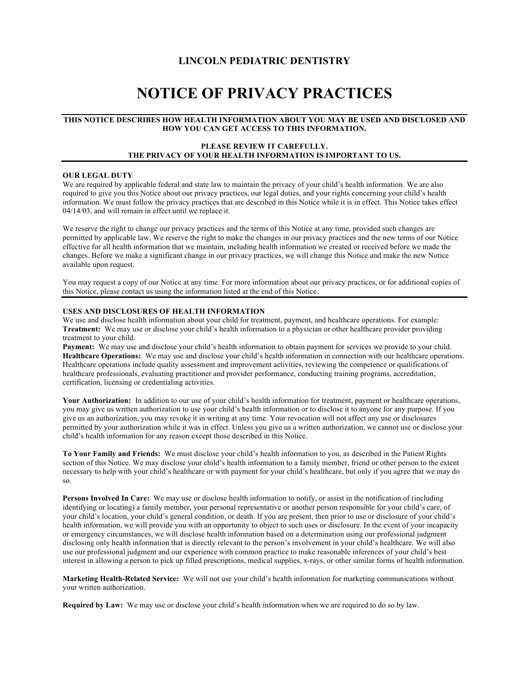## **LINCOLN PEDIATRIC DENTISTRY**

# **NOTICE OF PRIVACY PRACTICES**

#### **THIS NOTICE DESCRIBES HOW HEALTH INFORMATION ABOUT YOU MAY BE USED AND DISCLOSED AND HOW YOU CAN GET ACCESS TO THIS INFORMATION.**

#### **PLEASE REVIEW IT CAREFULLY. THE PRIVACY OF YOUR HEALTH INFORMATION IS IMPORTANT TO US.**

#### **OUR LEGAL DUTY**

We are required by applicable federal and state law to maintain the privacy of your child's health information. We are also required to give you this Notice about our privacy practices, our legal duties, and your rights concerning your child's health information. We must follow the privacy practices that are described in this Notice while it is in effect. This Notice takes effect 04/14/03, and will remain in effect until we replace it.

We reserve the right to change our privacy practices and the terms of this Notice at any time, provided such changes are permitted by applicable law. We reserve the right to make the changes in our privacy practices and the new terms of our Notice effective for all health information that we maintain, including health information we created or received before we made the changes. Before we make a significant change in our privacy practices, we will change this Notice and make the new Notice available upon request.

You may request a copy of our Notice at any time. For more information about our privacy practices, or for additional copies of this Notice, please contact us using the information listed at the end of this Notice.

#### **USES AND DISCLOSURES OF HEALTH INFORMATION**

We use and disclose health information about your child for treatment, payment, and healthcare operations. For example: **Treatment:** We may use or disclose your child's health information to a physician or other healthcare provider providing treatment to your child.

**Payment:** We may use and disclose your child's health information to obtain payment for services we provide to your child. **Healthcare Operations:** We may use and disclose your child's health information in connection with our healthcare operations. Healthcare operations include quality assessment and improvement activities, reviewing the competence or qualifications of healthcare professionals, evaluating practitioner and provider performance, conducting training programs, accreditation, certification, licensing or credentialing activities.

**Your Authorization:** In addition to our use of your child's health information for treatment, payment or healthcare operations, you may give us written authorization to use your child's health information or to disclose it to anyone for any purpose. If you give us an authorization, you may revoke it in writing at any time. Your revocation will not affect any use or disclosures permitted by your authorization while it was in effect. Unless you give us a written authorization, we cannot use or disclose your child's health information for any reason except those described in this Notice.

**To Your Family and Friends:** We must disclose your child's health information to you, as described in the Patient Rights section of this Notice. We may disclose your child's health information to a family member, friend or other person to the extent necessary to help with your child's healthcare or with payment for your child's healthcare, but only if you agree that we may do so.

**Persons Involved In Care:** We may use or disclose health information to notify, or assist in the notification of (including identifying or locating) a family member, your personal representative or another person responsible for your child's care, of your child's location, your child's general condition, or death. If you are present, then prior to use or disclosure of your child's health information, we will provide you with an opportunity to object to such uses or disclosure. In the event of your incapacity or emergency circumstances, we will disclose health information based on a determination using our professional judgment disclosing only health information that is directly relevant to the person's involvement in your child's healthcare. We will also use our professional judgment and our experience with common practice to make reasonable inferences of your child's best interest in allowing a person to pick up filled prescriptions, medical supplies, x-rays, or other similar forms of health information.

**Marketing Health-Related Service:** We will not use your child's health information for marketing communications without your written authorization.

**Required by Law:** We may use or disclose your child's health information when we are required to do so by law.